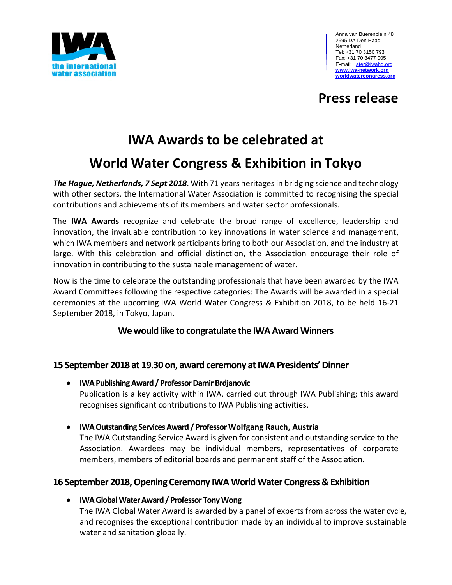

### **Press release**

## **IWA Awards to be celebrated at**

### **World Water Congress & Exhibition in Tokyo**

*The Hague, Netherlands, 7 Sept 2018*. With 71 years heritages in bridging science and technology with other sectors, the International Water Association is committed to recognising the special contributions and achievements of its members and water sector professionals.

The **[IWA Awards](http://www.iwa-network.org/awards/)** recognize and celebrate the broad range of excellence, leadership and innovation, the invaluable contribution to key innovations in water science and management, which IWA members and network participants bring to both our Association, and the industry at large. With this celebration and official distinction, the Association encourage their role of innovation in contributing to the sustainable management of water.

Now is the time to celebrate the outstanding professionals that have been awarded by the IWA Award Committees following the respective categories: The Awards will be awarded in a special ceremonies at the upcoming [IWA World Water Congress & Exhibition 2018,](http://worldwatercongress.org/) to be held 16-21 September 2018, in Tokyo, Japan.

#### **We would like to congratulate the IWA Award Winners**

#### **15 September 2018 at 19.30 on, award ceremony at IWA Presidents' Dinner**

- **IWA Publishing Award / Professor Damir Brdjanovic** Publication is a key activity within IWA, carried out through IWA Publishing; this award recognises significant contributions to IWA Publishing activities.
- **IWA Outstanding Services Award / Professor Wolfgang Rauch, Austria** The IWA Outstanding Service Award is given for consistent and outstanding service to the Association. Awardees may be individual members, representatives of corporate members, members of editorial boards and permanent staff of the Association.

### **16 September 2018, Opening Ceremony IWA World Water Congress & Exhibition**

**IW[A Global Water Award](http://www.iwa-network.org/global-water-award/) / Professor Tony Wong**

The IWA Global Water Award is awarded by a panel of experts from across the water cycle, and recognises the exceptional contribution made by an individual to improve sustainable water and sanitation globally.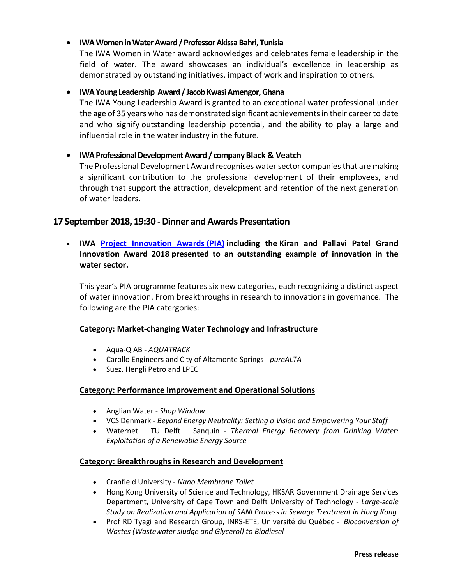#### **IW[A Womenin WaterA](http://www.iwa-network.org/iwa-women-water-award/)ward / ProfessorAkissa Bahri, Tunisia**

The IWA Women in Water award acknowledges and celebrates female leadership in the field of water. The award showcases an individual's excellence in leadership as demonstrated by outstanding initiatives, impact of work and inspiration to others.

#### **IW[A Young Leadership](http://www.iwa-network.org/iwa-young-leadership-award/) Award / Jacob Kwasi Amengor, Ghana**

The IWA Young Leadership Award is granted to an exceptional water professional under the age of 35 years who has demonstrated significant achievements in their career to date and who signify outstanding leadership potential, and the ability to play a large and influential role in the water industry in the future.

#### **[IWA Professional Development Award](http://www.iwa-network.org/professional-development/) / company Black & Veatch**

The Professional Development Award recognises water sector companies that are making a significant contribution to the professional development of their employees, and through that support the attraction, development and retention of the next generation of water leaders.

#### **17 September 2018, 19:30 -Dinner and Awards Presentation**

 **IWA [Project Innovation Awards](http://www.iwa-network.org/iwa-project-innovation-awards/) (PIA) including the Kiran and Pallavi Patel Grand Innovation Award 2018 presented to an outstanding example of innovation in the water sector.**

This year's PIA programme features six new categories, each recognizing a distinct aspect of water innovation. From breakthroughs in research to innovations in governance. The following are the PIA catergories:

#### **Category: Market-changing Water Technology and Infrastructure**

- Aqua-Q AB *AQUATRACK*
- Carollo Engineers and City of Altamonte Springs *pureALTA*
- Suez, Hengli Petro and LPEC

#### **Category: Performance Improvement and Operational Solutions**

- Anglian Water *Shop Window*
- VCS Denmark *Beyond Energy Neutrality: Setting a Vision and Empowering Your Staff*
- Waternet TU Delft Sanquin *Thermal Energy Recovery from Drinking Water: Exploitation of a Renewable Energy Source*

#### **Category: Breakthroughs in Research and Development**

- Cranfield University *Nano Membrane Toilet*
- Hong Kong University of Science and Technology, HKSAR Government Drainage Services Department, University of Cape Town and Delft University of Technology - *Large-scale Study on Realization and Application of SANI Process in Sewage Treatment in Hong Kong*
- Prof RD Tyagi and Research Group, INRS-ETE, Université du Québec *Bioconversion of Wastes (Wastewater sludge and Glycerol) to Biodiesel*